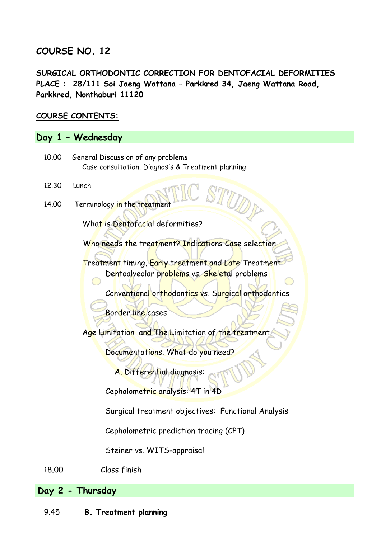# **COURSE NO. 12**

**SURGICAL ORTHODONTIC CORRECTION FOR DENTOFACIAL DEFORMITIES PLACE : 28/111 Soi Jaeng Wattana – Parkkred 34, Jaeng Wattana Road, Parkkred, Nonthaburi 11120** 

## **COURSE CONTENTS:**

## **Day 1 – Wednesday**

- 10.00 General Discussion of any problems Case consultation. Diagnosis & Treatment planning
- 12.30 Lunch
- 14.00 Terminology in the treatment

What is Dentofacial deformities?

Who needs the treatment? Indications Case selection

Treatment timing, Early treatment and Late Treatment Dentoalveolar problems vs. Skeletal problems

Conventional orthodontics vs. Surgical orthodontics

DD

Border line cases

Age Limitation and The Limitation of the treatment

Documentations. What do you need?

A. Differential diagnosis:

Cephalometric analysis: 4T in 4D

Surgical treatment objectives: Functional Analysis

Cephalometric prediction tracing (CPT)

Steiner vs. WITS-appraisal

18.00 Class finish

**Day 2 - Thursday**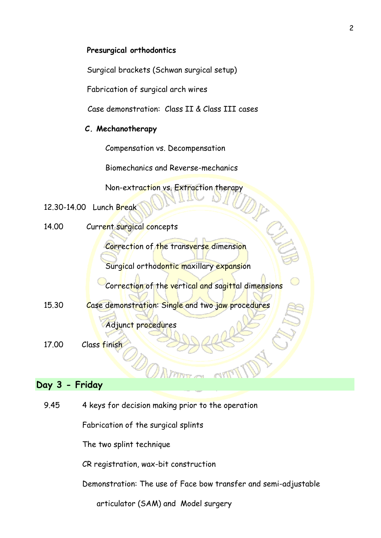#### **Presurgical orthodontics**

Surgical brackets (Schwan surgical setup)

Fabrication of surgical arch wires

Case demonstration: Class II & Class III cases

#### **C. Mechanotherapy**

Compensation vs. Decompensation

Biomechanics and Reverse-mechanics

Non-extraction vs. Extraction therapy

12.30-14.00 Lunch Break

14.00 Current surgical concepts

Correction of the transverse dimension

Surgical orthodontic maxillary expansion

Correction of the vertical and sagittal dimensions

15.30 Case demonstration: Single and two jaw procedures

Adjunct procedures

17.00 Class finish

### **Day 3 - Friday**

9.45 4 keys for decision making prior to the operation

Fabrication of the surgical splints

The two splint technique

CR registration, wax-bit construction

Demonstration: The use of Face bow transfer and semi-adjustable

articulator (SAM) and Model surgery